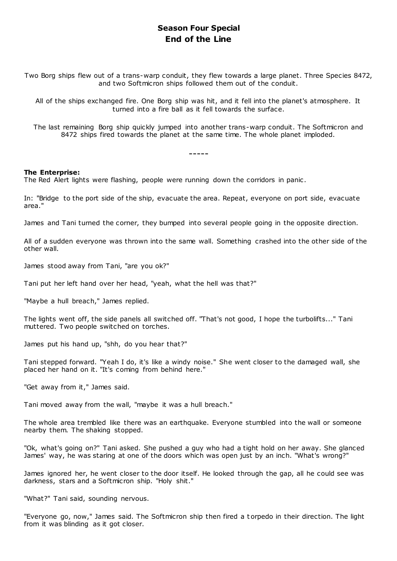# **Season Four Special End of the Line**

Two Borg ships flew out of a trans-warp conduit, they flew towards a large planet. Three Species 8472, and two Softmicron ships followed them out of the conduit.

All of the ships exchanged fire. One Borg ship was hit, and it fell into the planet's atmosphere. It turned into a fire ball as it fell towards the surface.

The last remaining Borg ship quickly jumped into another trans-warp conduit. The Softmicron and 8472 ships fired towards the planet at the same time. The whole planet imploded.

-----

### **The Enterprise:**

The Red Alert lights were flashing, people were running down the corridors in panic .

In: "Bridge to the port side of the ship, evacuate the area. Repeat, everyone on port side, evacuate area."

James and Tani turned the corner, they bumped into several people going in the opposite direction.

All of a sudden everyone was thrown into the same wall. Something crashed into the other side of the other wall.

James stood away from Tani, "are you ok?"

Tani put her left hand over her head, "yeah, what the hell was that?"

"Maybe a hull breach," James replied.

The lights went off, the side panels all switched off. "That's not good, I hope the turbolifts..." Tani muttered. Two people switched on torches.

James put his hand up, "shh, do you hear that?"

Tani stepped forward. "Yeah I do, it's like a windy noise." She went closer to the damaged wall, she placed her hand on it. "It's coming from behind here."

"Get away from it," James said.

Tani moved away from the wall, "maybe it was a hull breach."

The whole area trembled like there was an earthquake. Everyone stumbled into the wall or someone nearby them. The shaking stopped.

"Ok, what's going on?" Tani asked. She pushed a guy who had a tight hold on her away. She glanced James' way, he was staring at one of the doors which was open just by an inch. "What's wrong?"

James ignored her, he went closer to the door itself. He looked through the gap, all he could see was darkness, stars and a Softmicron ship. "Holy shit."

"What?" Tani said, sounding nervous.

"Everyone go, now," James said. The Softmicron ship then fired a t orpedo in their direction. The light from it was blinding as it got closer.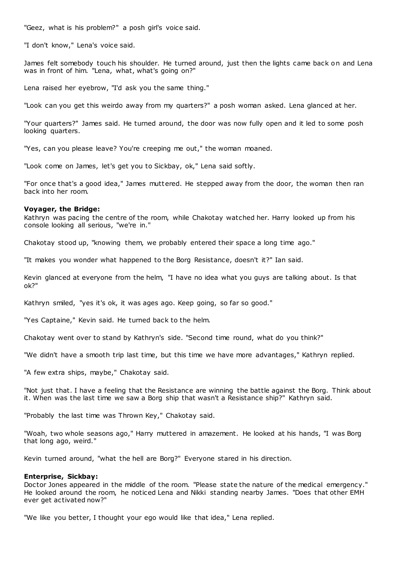"Geez, what is his problem?" a posh girl's voice said.

"I don't know," Lena's voice said.

James felt somebody touch his shoulder. He turned around, just then the lights came back on and Lena was in front of him. "Lena, what, what's going on?"

Lena raised her eyebrow, "I'd ask you the same thing."

"Look can you get this weirdo away from my quarters?" a posh woman asked. Lena glanced at her.

"Your quarters?" James said. He turned around, the door was now fully open and it led to some posh looking quarters.

"Yes, can you please leave? You're creeping me out," the woman moaned.

"Look come on James, let's get you to Sickbay, ok," Lena said softly.

"For once that's a good idea," James muttered. He stepped away from the door, the woman then ran back into her room.

### **Voyager, the Bridge:**

Kathryn was pacing the centre of the room, while Chakotay watched her. Harry looked up from his console looking all serious, "we're in."

Chakotay stood up, "knowing them, we probably entered their space a long time ago."

"It makes you wonder what happened to the Borg Resistance, doesn't it?" Ian said.

Kevin glanced at everyone from the helm, "I have no idea what you guys are talking about. Is that ok?"

Kathryn smiled, "yes it's ok, it was ages ago. Keep going, so far so good."

"Yes Captaine," Kevin said. He turned back to the helm.

Chakotay went over to stand by Kathryn's side. "Second time round, what do you think?"

"We didn't have a smooth trip last time, but this time we have more advantages," Kathryn replied.

"A few extra ships, maybe," Chakotay said.

"Not just that. I have a feeling that the Resistance are winning the battle against the Borg. Think about it. When was the last time we saw a Borg ship that wasn't a Resistance ship?" Kathryn said.

"Probably the last time was Thrown Key," Chakotay said.

"Woah, two whole seasons ago," Harry muttered in amazement. He looked at his hands, "I was Borg that long ago, weird."

Kevin turned around, "what the hell are Borg?" Everyone stared in his direction.

### **Enterprise, Sickbay:**

Doctor Jones appeared in the middle of the room. "Please state the nature of the medical emergency." He looked around the room, he noticed Lena and Nikki standing nearby James. "Does that other EMH ever get activated now?"

"We like you better, I thought your ego would like that idea," Lena replied.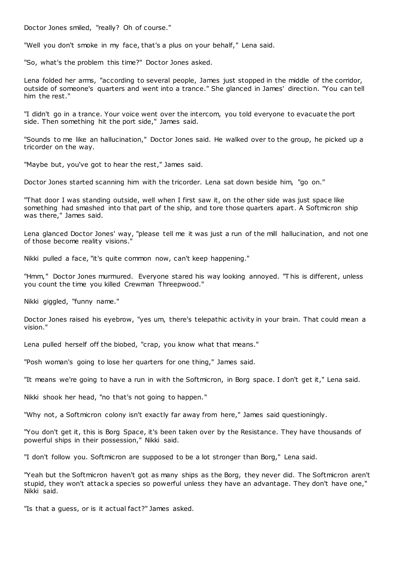Doctor Jones smiled, "really? Oh of course."

"Well you don't smoke in my face, that's a plus on your behalf," Lena said.

"So, what's the problem this time?" Doctor Jones asked.

Lena folded her arms, "according to several people, James just stopped in the middle of the corridor, outside of someone's quarters and went into a trance." She glanced in James' direction. "You can tell him the rest."

"I didn't go in a trance. Your voice went over the intercom, you told everyone to evacuate the port side. Then something hit the port side," James said.

"Sounds to me like an hallucination," Doctor Jones said. He walked over to the group, he picked up a tricorder on the way.

"Maybe but, you've got to hear the rest," James said.

Doctor Jones started scanning him with the tricorder. Lena sat down beside him, "go on."

"That door I was standing outside, well when I first saw it, on the other side was just space like something had smashed into that part of the ship, and tore those quarters apart. A Softmicron ship was there," James said.

Lena glanced Doctor Jones' way, "please tell me it was just a run of the mill hallucination, and not one of those become reality visions."

Nikki pulled a face, "it's quite common now, can't keep happening."

"Hmm," Doctor Jones murmured. Everyone stared his way looking annoyed. "T his is different, unless you count the time you killed Crewman Threepwood."

Nikki giggled, "funny name."

Doctor Jones raised his eyebrow, "yes um, there's telepathic activity in your brain. That could mean a vision."

Lena pulled herself off the biobed, "crap, you know what that means."

"Posh woman's going to lose her quarters for one thing," James said.

"It means we're going to have a run in with the Softmicron, in Borg space. I don't get it," Lena said.

Nikki shook her head, "no that's not going to happen."

"Why not, a Softmicron colony isn't exactly far away from here," James said questioningly.

"You don't get it, this is Borg Space, it's been taken over by the Resistance. They have thousands of powerful ships in their possession," Nikki said.

"I don't follow you. Softmicron are supposed to be a lot stronger than Borg," Lena said.

"Yeah but the Softmicron haven't got as many ships as the Borg, they never did. The Softmicron aren't stupid, they won't attack a species so powerful unless they have an advantage. They don't have one," Nikki said.

"Is that a guess, or is it actual fact?" James asked.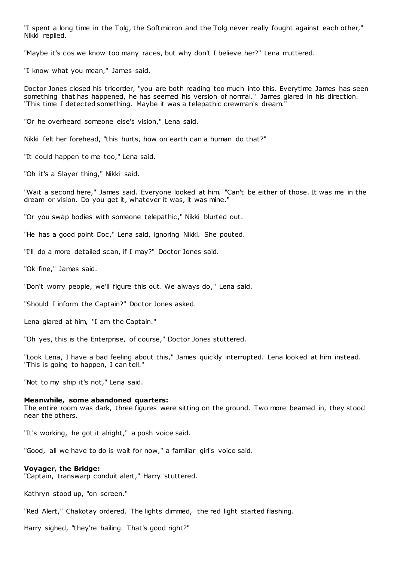"I spent a long time in the Tolg, the Softmicron and the Tolg never really fought against each other," Nikki replied.

"Maybe it's cos we know too many races, but why don't I believe her?" Lena muttered.

"I know what you mean," James said.

Doctor Jones closed his tricorder, "you are both reading too much into this. Everytime James has seen something that has happened, he has seemed his version of normal." James glared in his direction. "This time I detected something. Maybe it was a telepathic crewman's dream."

"Or he overheard someone else's vision," Lena said.

Nikki felt her forehead, "this hurts, how on earth can a human do that?"

"It could happen to me too," Lena said.

"Oh it's a Slayer thing," Nikki said.

"Wait a second here," James said. Everyone looked at him. "Can't be either of those. It was me in the dream or vision. Do you get it, whatever it was, it was mine."

"Or you swap bodies with someone telepathic ," Nikki blurted out.

"He has a good point Doc," Lena said, ignoring Nikki. She pouted.

"I'll do a more detailed scan, if I may?" Doctor Jones said.

"Ok fine," James said.

"Don't worry people, we'll figure this out. We always do," Lena said.

"Should I inform the Captain?" Doctor Jones asked.

Lena glared at him, "I am the Captain."

"Oh yes, this is the Enterprise, of course," Doctor Jones stuttered.

"Look Lena, I have a bad feeling about this," James quickly interrupted. Lena looked at him instead. "This is going to happen, I can tell."

"Not to my ship it's not," Lena said.

## **Meanwhile, some abandoned quarters:**

The entire room was dark, three figures were sitting on the ground. Two more beamed in, they stood near the others.

"It's working, he got it alright," a posh voice said.

"Good, all we have to do is wait for now," a familiar girl's voice said.

### **Voyager, the Bridge:**

"Captain, transwarp conduit alert," Harry stuttered.

Kathryn stood up, "on screen."

"Red Alert," Chakotay ordered. The lights dimmed, the red light started flashing.

Harry sighed, "they're hailing. That's good right?"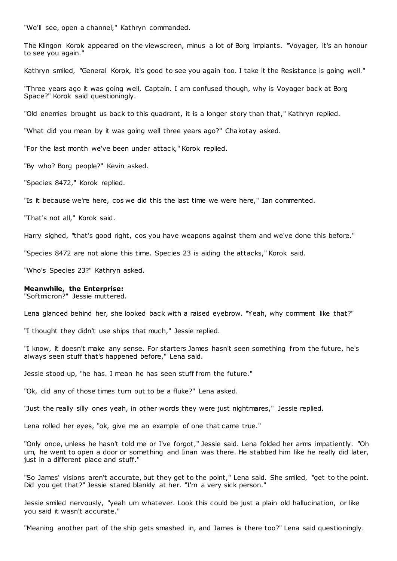"We'll see, open a channel," Kathryn commanded.

The Klingon Korok appeared on the viewscreen, minus a lot of Borg implants. "Voyager, it's an honour to see you again."

Kathryn smiled, "General Korok, it's good to see you again too. I take it the Resistance is going well."

"Three years ago it was going well, Captain. I am confused though, why is Voyager back at Borg Space?" Korok said questioningly.

"Old enemies brought us back to this quadrant, it is a longer story than that," Kathryn replied.

"What did you mean by it was going well three years ago?" Chakotay asked.

"For the last month we've been under attack," Korok replied.

"By who? Borg people?" Kevin asked.

"Species 8472," Korok replied.

"Is it because we're here, cos we did this the last time we were here," Ian commented.

"That's not all," Korok said.

Harry sighed, "that's good right, cos you have weapons against them and we've done this before."

"Species 8472 are not alone this time. Species 23 is aiding the attacks," Korok said.

"Who's Species 23?" Kathryn asked.

### **Meanwhile, the Enterprise:**

"Softmicron?" Jessie muttered.

Lena glanced behind her, she looked back with a raised eyebrow. "Yeah, why comment like that?"

"I thought they didn't use ships that much," Jessie replied.

"I know, it doesn't make any sense. For starters James hasn't seen something f rom the future, he's always seen stuff that's happened before," Lena said.

Jessie stood up, "he has. I mean he has seen stuff from the future."

"Ok, did any of those times turn out to be a fluke?" Lena asked.

"Just the really silly ones yeah, in other words they were just nightmares," Jessie replied.

Lena rolled her eyes, "ok, give me an example of one that came true."

"Only once, unless he hasn't told me or I've forgot," Jessie said. Lena folded her arms impatiently. "Oh um, he went to open a door or something and Iinan was there. He stabbed him like he really did later, just in a different place and stuff."

"So James' visions aren't accurate, but they get to the point," Lena said. She smiled, "get to the point. Did you get that?" Jessie stared blankly at her. "I'm a very sick person."

Jessie smiled nervously, "yeah um whatever. Look this could be just a plain old hallucination, or like you said it wasn't accurate."

"Meaning another part of the ship gets smashed in, and James is there too?" Lena said questioningly.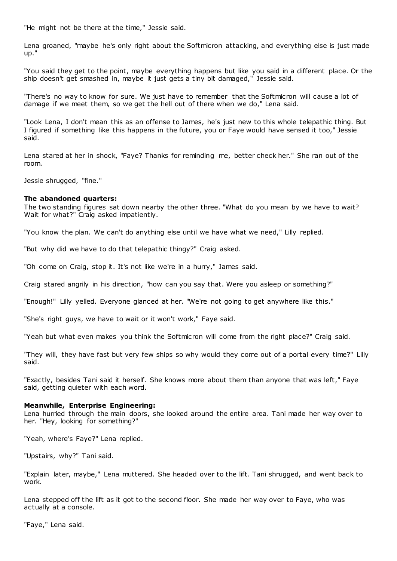"He might not be there at the time," Jessie said.

Lena groaned, "maybe he's only right about the Softmicron attacking, and everything else is just made up."

"You said they get to the point, maybe everything happens but like you said in a different place. Or the ship doesn't get smashed in, maybe it just gets a tiny bit damaged," Jessie said.

"There's no way to know for sure. We just have to remember that the Softmicron will cause a lot of damage if we meet them, so we get the hell out of there when we do," Lena said.

"Look Lena, I don't mean this as an offense to James, he's just new to this whole telepathic thing. But I figured if something like this happens in the future, you or Faye would have sensed it too," Jessie said.

Lena stared at her in shock, "Faye? Thanks for reminding me, better check her." She ran out of the room.

Jessie shrugged, "fine."

### **The abandoned quarters:**

The two standing figures sat down nearby the other three. "What do you mean by we have to wait? Wait for what?" Craig asked impatiently.

"You know the plan. We can't do anything else until we have what we need," Lilly replied.

"But why did we have to do that telepathic thingy?" Craig asked.

"Oh come on Craig, stop it. It's not like we're in a hurry," James said.

Craig stared angrily in his direction, "how can you say that. Were you asleep or something?"

"Enough!" Lilly yelled. Everyone glanced at her. "We're not going to get anywhere like this."

"She's right guys, we have to wait or it won't work," Faye said.

"Yeah but what even makes you think the Softmicron will come from the right place?" Craig said.

"They will, they have fast but very few ships so why would they come out of a portal every time?" Lilly said.

"Exactly, besides Tani said it herself. She knows more about them than anyone that was left," Faye said, getting quieter with each word.

### **Meanwhile, Enterprise Engineering:**

Lena hurried through the main doors, she looked around the entire area. Tani made her way over to her. "Hey, looking for something?"

"Yeah, where's Faye?" Lena replied.

"Upstairs, why?" Tani said.

"Explain later, maybe," Lena muttered. She headed over to the lift. Tani shrugged, and went back to work.

Lena stepped off the lift as it got to the second floor. She made her way over to Faye, who was actually at a console.

"Faye," Lena said.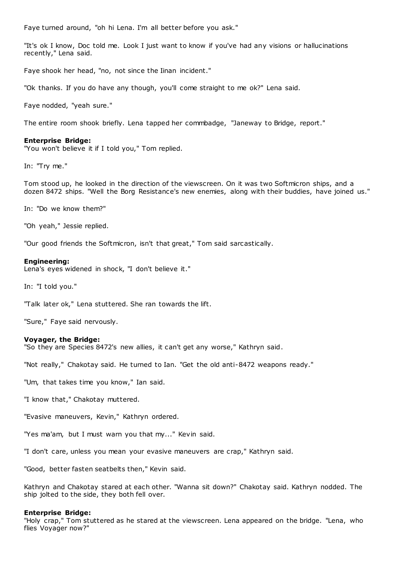Faye turned around, "oh hi Lena. I'm all better before you ask."

"It's ok I know, Doc told me. Look I just want to know if you've had any visions or hallucinations recently," Lena said.

Faye shook her head, "no, not since the Iinan incident."

"Ok thanks. If you do have any though, you'll come straight to me ok?" Lena said.

Faye nodded, "yeah sure."

The entire room shook briefly. Lena tapped her commbadge, "Janeway to Bridge, report."

# **Enterprise Bridge:**

"You won't believe it if I told you," Tom replied.

In: "Try me."

Tom stood up, he looked in the direction of the viewscreen. On it was two Softmicron ships, and a dozen 8472 ships. "Well the Borg Resistance's new enemies, along with their buddies, have joined us."

In: "Do we know them?"

"Oh yeah," Jessie replied.

"Our good friends the Softmicron, isn't that great," Tom said sarcastically.

### **Engineering:**

Lena's eyes widened in shock, "I don't believe it."

In: "I told you."

"Talk later ok," Lena stuttered. She ran towards the lift.

"Sure," Faye said nervously.

# **Voyager, the Bridge:**

"So they are Species 8472's new allies, it can't get any worse," Kathryn said.

"Not really," Chakotay said. He turned to Ian. "Get the old anti-8472 weapons ready."

"Um, that takes time you know," Ian said.

"I know that," Chakotay muttered.

"Evasive maneuvers, Kevin," Kathryn ordered.

"Yes ma'am, but I must warn you that my..." Kevin said.

"I don't care, unless you mean your evasive maneuvers are crap," Kathryn said.

"Good, better fasten seatbelts then," Kevin said.

Kathryn and Chakotay stared at each other. "Wanna sit down?" Chakotay said. Kathryn nodded. The ship jolted to the side, they both fell over.

### **Enterprise Bridge:**

"Holy crap," Tom stuttered as he stared at the viewscreen. Lena appeared on the bridge. "Lena, who flies Voyager now?"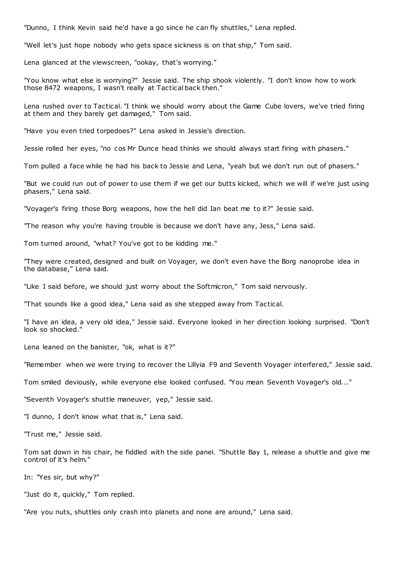"Dunno, I think Kevin said he'd have a go since he can fly shuttles," Lena replied.

"Well let's just hope nobody who gets space sickness is on that ship," Tom said.

Lena glanced at the viewscreen, "ookay, that's worrying."

"You know what else is worrying?" Jessie said. The ship shook violently. "I don't know how to work those 8472 weapons, I wasn't really at Tactical back then."

Lena rushed over to Tactical. "I think we should worry about the Game Cube lovers, we've tried firing at them and they barely get damaged," Tom said.

"Have you even tried torpedoes?" Lena asked in Jessie's direction.

Jessie rolled her eyes, "no cos Mr Dunce head thinks we should always start firing with phasers."

Tom pulled a face while he had his back to Jessie and Lena, "yeah but we don't run out of phasers."

"But we could run out of power to use them if we get our butts kicked, which we will if we're just using phasers," Lena said.

"Voyager's firing those Borg weapons, how the hell did Ian beat me to it?" Jessie said.

"The reason why you're having trouble is because we don't have any, Jess," Lena said.

Tom turned around, "what? You've got to be kidding me."

"They were created, designed and built on Voyager, we don't even have the Borg nanoprobe idea in the database," Lena said.

"Like I said before, we should just worry about the Softmicron," Tom said nervously.

"That sounds like a good idea," Lena said as she stepped away from Tactical.

"I have an idea, a very old idea," Jessie said. Everyone looked in her direction looking surprised. "Don't look so shocked."

Lena leaned on the banister, "ok, what is it?"

"Remember when we were trying to recover the Lillyia F9 and Seventh Voyager interfered," Jessie said.

Tom smiled deviously, while everyone else looked confused. "You mean Seventh Voyager's old..."

"Seventh Voyager's shuttle maneuver, yep," Jessie said.

"I dunno, I don't know what that is," Lena said.

"Trust me," Jessie said.

Tom sat down in his chair, he fiddled with the side panel. "Shuttle Bay 1, release a shuttle and give me control of it's helm."

In: "Yes sir, but why?"

"Just do it, quickly," Tom replied.

"Are you nuts, shuttles only crash into planets and none are around," Lena said.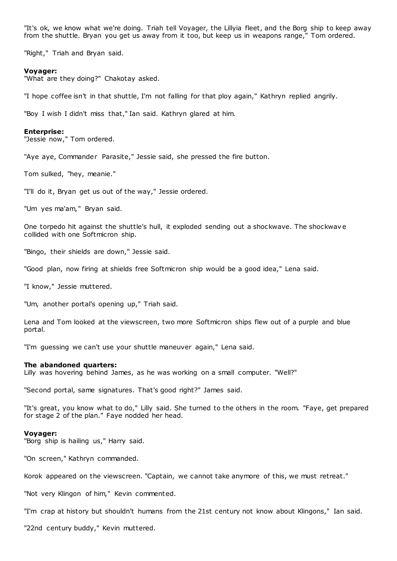"It's ok, we know what we're doing. Triah tell Voyager, the Lillyia fleet, and the Borg ship to keep away from the shuttle. Bryan you get us away from it too, but keep us in weapons range," Tom ordered.

"Right," Triah and Bryan said.

#### **Voyager:**

"What are they doing?" Chakotay asked.

"I hope coffee isn't in that shuttle, I'm not falling for that ploy again," Kathryn replied angrily.

"Boy I wish I didn't miss that," Ian said. Kathryn glared at him.

#### **Enterprise:**

"Jessie now," Tom ordered.

"Aye aye, Commander Parasite," Jessie said, she pressed the fire button.

Tom sulked, "hey, meanie."

"I'll do it, Bryan get us out of the way," Jessie ordered.

"Um yes ma'am," Bryan said.

One torpedo hit against the shuttle's hull, it exploded sending out a shockwave. The shockwav e collided with one Softmicron ship.

"Bingo, their shields are down," Jessie said.

"Good plan, now firing at shields free Softmicron ship would be a good idea," Lena said.

"I know," Jessie muttered.

"Um, another portal's opening up," Triah said.

Lena and Tom looked at the viewscreen, two more Softmicron ships flew out of a purple and blue portal.

"I'm guessing we can't use your shuttle maneuver again," Lena said.

## **The abandoned quarters:**

Lilly was hovering behind James, as he was working on a small computer. "Well?"

"Second portal, same signatures. That's good right?" James said.

"It's great, you know what to do," Lilly said. She turned to the others in the room. "Faye, get prepared for stage 2 of the plan." Faye nodded her head.

#### **Voyager:**

"Borg ship is hailing us," Harry said.

"On screen," Kathryn commanded.

Korok appeared on the viewscreen. "Captain, we cannot take anymore of this, we must retreat."

"Not very Klingon of him," Kevin commented.

"I'm crap at history but shouldn't humans from the 21st century not know about Klingons," Ian said.

"22nd century buddy," Kevin muttered.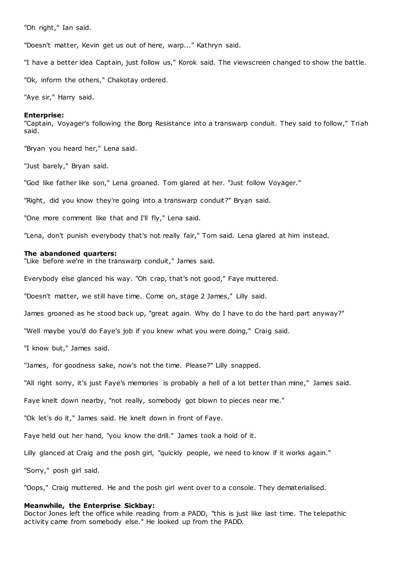"Oh right," Ian said.

"Doesn't matter, Kevin get us out of here, warp..." Kathryn said.

"I have a better idea Captain, just follow us," Korok said. The viewscreen changed to show the battle.

"Ok, inform the others," Chakotay ordered.

"Aye sir," Harry said.

#### **Enterprise:**

"Captain, Voyager's following the Borg Resistance into a transwarp conduit. They said to follow," Triah said.

"Bryan you heard her," Lena said.

"Just barely," Bryan said.

"God like father like son," Lena groaned. Tom glared at her. "Just follow Voyager."

"Right, did you know they're going into a transwarp conduit?" Bryan said.

"One more comment like that and I'll fly," Lena said.

"Lena, don't punish everybody that's not really fair," Tom said. Lena glared at him instead.

#### **The abandoned quarters:**

"Like before we're in the transwarp conduit," James said.

Everybody else glanced his way. "Oh crap, that's not good," Faye muttered.

"Doesn't matter, we still have time. Come on, stage 2 James," Lilly said.

James groaned as he stood back up, "great again. Why do I have to do the hard part anyway?"

"Well maybe you'd do Faye's job if you knew what you were doing," Craig said.

"I know but," James said.

"James, for goodness sake, now's not the time. Please?" Lilly snapped.

"All right sorry, it's just Faye's memories is probably a hell of a lot better than mine," James said.

Faye knelt down nearby, "not really, somebody got blown to pieces near me."

"Ok let's do it," James said. He knelt down in front of Faye.

Faye held out her hand, "you know the drill." James took a hold of it.

Lilly glanced at Craig and the posh girl, "quickly people, we need to know if it works again."

"Sorry," posh girl said.

"Oops," Craig muttered. He and the posh girl went over to a console. They dematerialised.

### **Meanwhile, the Enterprise Sickbay:**

Doctor Jones left the office while reading from a PADD, "this is just like last time. The telepathic activity came from somebody else." He looked up from the PADD.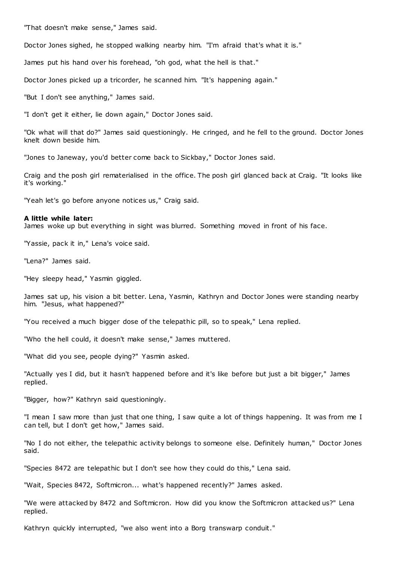"That doesn't make sense," James said.

Doctor Jones sighed, he stopped walking nearby him. "I'm afraid that's what it is."

James put his hand over his forehead, "oh god, what the hell is that."

Doctor Jones picked up a tricorder, he scanned him. "It's happening again."

"But I don't see anything," James said.

"I don't get it either, lie down again," Doctor Jones said.

"Ok what will that do?" James said questioningly. He cringed, and he fell to the ground. Doctor Jones knelt down beside him.

"Jones to Janeway, you'd better come back to Sickbay," Doctor Jones said.

Craig and the posh girl rematerialised in the office. The posh girl glanced back at Craig. "It looks like it's working."

"Yeah let's go before anyone notices us," Craig said.

#### **A little while later:**

James woke up but everything in sight was blurred. Something moved in front of his face.

"Yassie, pack it in," Lena's voice said.

"Lena?" James said.

"Hey sleepy head," Yasmin giggled.

James sat up, his vision a bit better. Lena, Yasmin, Kathryn and Doctor Jones were standing nearby him. "Jesus, what happened?"

"You received a much bigger dose of the telepathic pill, so to speak," Lena replied.

"Who the hell could, it doesn't make sense," James muttered.

"What did you see, people dying?" Yasmin asked.

"Actually yes I did, but it hasn't happened before and it's like before but just a bit bigger," James replied.

"Bigger, how?" Kathryn said questioningly.

"I mean I saw more than just that one thing, I saw quite a lot of things happening. It was from me I can tell, but I don't get how," James said.

"No I do not either, the telepathic activity belongs to someone else. Definitely human," Doctor Jones said.

"Species 8472 are telepathic but I don't see how they could do this," Lena said.

"Wait, Species 8472, Softmicron... what's happened recently?" James asked.

"We were attacked by 8472 and Softmicron. How did you know the Softmicron attacked us?" Lena replied.

Kathryn quickly interrupted, "we also went into a Borg transwarp conduit."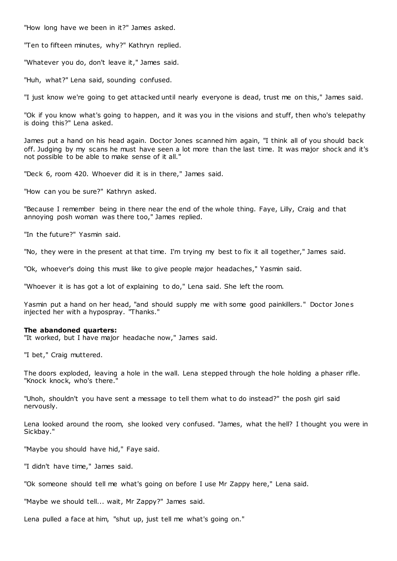"How long have we been in it?" James asked.

"Ten to fifteen minutes, why?" Kathryn replied.

"Whatever you do, don't leave it," James said.

"Huh, what?" Lena said, sounding confused.

"I just know we're going to get attacked until nearly everyone is dead, trust me on this," James said.

"Ok if you know what's going to happen, and it was you in the visions and stuff, then who's telepathy is doing this?" Lena asked.

James put a hand on his head again. Doctor Jones scanned him again, "I think all of you should back off. Judging by my scans he must have seen a lot more than the last time. It was major shock and it's not possible to be able to make sense of it all."

"Deck 6, room 420. Whoever did it is in there," James said.

"How can you be sure?" Kathryn asked.

"Because I remember being in there near the end of the whole thing. Faye, Lilly, Craig and that annoying posh woman was there too," James replied.

"In the future?" Yasmin said.

"No, they were in the present at that time. I'm trying my best to fix it all together," James said.

"Ok, whoever's doing this must like to give people major headaches," Yasmin said.

"Whoever it is has got a lot of explaining to do," Lena said. She left the room.

Yasmin put a hand on her head, "and should supply me with some good painkillers." Doctor Jones injected her with a hypospray. "Thanks."

### **The abandoned quarters:**

"It worked, but I have major headache now," James said.

"I bet," Craig muttered.

The doors exploded, leaving a hole in the wall. Lena stepped through the hole holding a phaser rifle. "Knock knock, who's there."

"Uhoh, shouldn't you have sent a message to tell them what to do instead?" the posh girl said nervously.

Lena looked around the room, she looked very confused. "James, what the hell? I thought you were in Sickbay."

"Maybe you should have hid," Faye said.

"I didn't have time," James said.

"Ok someone should tell me what's going on before I use Mr Zappy here," Lena said.

"Maybe we should tell... wait, Mr Zappy?" James said.

Lena pulled a face at him, "shut up, just tell me what's going on."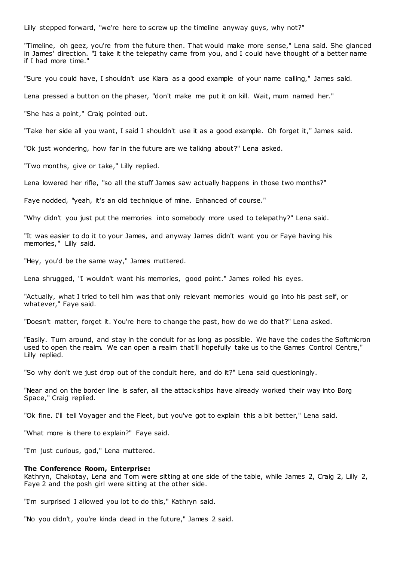Lilly stepped forward, "we're here to screw up the timeline anyway guys, why not?"

"Timeline, oh geez, you're from the future then. That would make more sense," Lena said. She glanced in James' direction. "I take it the telepathy came from you, and I could have thought of a better name if I had more time."

"Sure you could have, I shouldn't use Kiara as a good example of your name calling," James said.

Lena pressed a button on the phaser, "don't make me put it on kill. Wait, mum named her."

"She has a point," Craig pointed out.

"Take her side all you want, I said I shouldn't use it as a good example. Oh forget it," James said.

"Ok just wondering, how far in the future are we talking about?" Lena asked.

"Two months, give or take," Lilly replied.

Lena lowered her rifle, "so all the stuff James saw actually happens in those two months?"

Faye nodded, "yeah, it's an old technique of mine. Enhanced of course."

"Why didn't you just put the memories into somebody more used to telepathy?" Lena said.

"It was easier to do it to your James, and anyway James didn't want you or Faye having his memories," Lilly said.

"Hey, you'd be the same way," James muttered.

Lena shrugged, "I wouldn't want his memories, good point." James rolled his eyes.

"Actually, what I tried to tell him was that only relevant memories would go into his past self, or whatever," Faye said.

"Doesn't matter, forget it. You're here to change the past, how do we do that?" Lena asked.

"Easily. Turn around, and stay in the conduit for as long as possible. We have the codes the Softmicron used to open the realm. We can open a realm that'll hopefully take us to the Games Control Centre," Lilly replied.

"So why don't we just drop out of the conduit here, and do it?" Lena said questioningly.

"Near and on the border line is safer, all the attack ships have already worked their way into Borg Space," Craig replied.

"Ok fine. I'll tell Voyager and the Fleet, but you've got to explain this a bit better," Lena said.

"What more is there to explain?" Faye said.

"I'm just curious, god," Lena muttered.

#### **The Conference Room, Enterprise:**

Kathryn, Chakotay, Lena and Tom were sitting at one side of the table, while James 2, Craig 2, Lilly 2, Faye 2 and the posh girl were sitting at the other side.

"I'm surprised I allowed you lot to do this," Kathryn said.

"No you didn't, you're kinda dead in the future," James 2 said.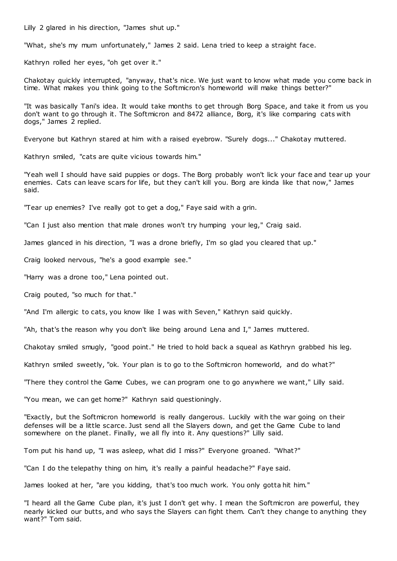Lilly 2 glared in his direction, "James shut up."

"What, she's my mum unfortunately," James 2 said. Lena tried to keep a straight face.

Kathryn rolled her eyes, "oh get over it."

Chakotay quickly interrupted, "anyway, that's nice. We just want to know what made you come back in time. What makes you think going to the Softmicron's homeworld will make things better?"

"It was basically Tani's idea. It would take months to get through Borg Space, and take it from us you don't want to go through it. The Softmicron and 8472 alliance, Borg, it's like comparing cats with dogs," James 2 replied.

Everyone but Kathryn stared at him with a raised eyebrow. "Surely dogs..." Chakotay muttered.

Kathryn smiled, "cats are quite vicious towards him."

"Yeah well I should have said puppies or dogs. The Borg probably won't lick your face and tear up your enemies. Cats can leave scars for life, but they can't kill you. Borg are kinda like that now," James said.

"Tear up enemies? I've really got to get a dog," Faye said with a grin.

"Can I just also mention that male drones won't try humping your leg," Craig said.

James glanced in his direction, "I was a drone briefly, I'm so glad you cleared that up."

Craig looked nervous, "he's a good example see."

"Harry was a drone too," Lena pointed out.

Craig pouted, "so much for that."

"And I'm allergic to cats, you know like I was with Seven," Kathryn said quickly.

"Ah, that's the reason why you don't like being around Lena and I," James muttered.

Chakotay smiled smugly, "good point." He tried to hold back a squeal as Kathryn grabbed his leg.

Kathryn smiled sweetly, "ok. Your plan is to go to the Softmicron homeworld, and do what?"

"There they control the Game Cubes, we can program one to go anywhere we want," Lilly said.

"You mean, we can get home?" Kathryn said questioningly.

"Exactly, but the Softmicron homeworld is really dangerous. Luckily with the war going on their defenses will be a little scarce. Just send all the Slayers down, and get the Game Cube to land somewhere on the planet. Finally, we all fly into it. Any questions?" Lilly said.

Tom put his hand up, "I was asleep, what did I miss?" Everyone groaned. "What?"

"Can I do the telepathy thing on him, it's really a painful headache?" Faye said.

James looked at her, "are you kidding, that's too much work. You only gotta hit him."

"I heard all the Game Cube plan, it's just I don't get why. I mean the Softmicron are powerful, they nearly kicked our butts, and who says the Slayers can fight them. Can't they change to anything they want?" Tom said.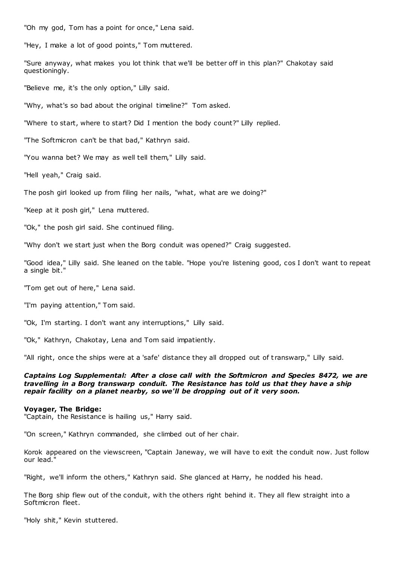"Oh my god, Tom has a point for once," Lena said.

"Hey, I make a lot of good points," Tom muttered.

"Sure anyway, what makes you lot think that we'll be better off in this plan?" Chakotay said questioningly.

"Believe me, it's the only option," Lilly said.

"Why, what's so bad about the original timeline?" Tom asked.

"Where to start, where to start? Did I mention the body count?" Lilly replied.

"The Softmicron can't be that bad," Kathryn said.

"You wanna bet? We may as well tell them," Lilly said.

"Hell yeah," Craig said.

The posh girl looked up from filing her nails, "what, what are we doing?"

"Keep at it posh girl," Lena muttered.

"Ok," the posh girl said. She continued filing.

"Why don't we start just when the Borg conduit was opened?" Craig suggested.

"Good idea," Lilly said. She leaned on the table. "Hope you're listening good, cos I don't want to repeat a single bit."

"Tom get out of here," Lena said.

"I'm paying attention," Tom said.

"Ok, I'm starting. I don't want any interruptions," Lilly said.

"Ok," Kathryn, Chakotay, Lena and Tom said impatiently.

"All right, once the ships were at a 'safe' distance they all dropped out of t ranswarp," Lilly said.

*Captains Log Supplemental: After a close call with the Softmicron and Species 8472, we are travelling in a Borg transwarp conduit. The Resistance has told us that they have a ship repair facility on a planet nearby, so we'll be dropping out of it very soon.*

#### **Voyager, The Bridge:**

"Captain, the Resistance is hailing us," Harry said.

"On screen," Kathryn commanded, she climbed out of her chair.

Korok appeared on the viewscreen, "Captain Janeway, we will have to exit the conduit now. Just follow our lead."

"Right, we'll inform the others," Kathryn said. She glanced at Harry, he nodded his head.

The Borg ship flew out of the conduit, with the others right behind it. They all flew straight into a Softmicron fleet.

"Holy shit," Kevin stuttered.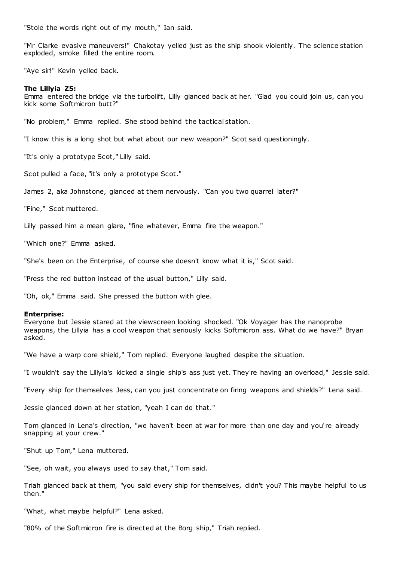"Stole the words right out of my mouth," Ian said.

"Mr Clarke evasive maneuvers!" Chakotay yelled just as the ship shook violently. The science station exploded, smoke filled the entire room.

"Aye sir!" Kevin yelled back.

### **The Lillyia Z5:**

Emma entered the bridge via the turbolift, Lilly glanced back at her. "Glad you could join us, can you kick some Softmicron butt?"

"No problem," Emma replied. She stood behind the tactical station.

"I know this is a long shot but what about our new weapon?" Scot said questioningly.

"It's only a prototype Scot," Lilly said.

Scot pulled a face, "it's only a prototype Scot."

James 2, aka Johnstone, glanced at them nervously. "Can you two quarrel later?"

"Fine," Scot muttered.

Lilly passed him a mean glare, "fine whatever, Emma fire the weapon."

"Which one?" Emma asked.

"She's been on the Enterprise, of course she doesn't know what it is," Scot said.

"Press the red button instead of the usual button," Lilly said.

"Oh, ok," Emma said. She pressed the button with glee.

### **Enterprise:**

Everyone but Jessie stared at the viewscreen looking shocked. "Ok Voyager has the nanoprobe weapons, the Lillyia has a cool weapon that seriously kicks Softmicron ass. What do we have?" Bryan asked.

"We have a warp core shield," Tom replied. Everyone laughed despite the situation.

"I wouldn't say the Lillyia's kicked a single ship's ass just yet. They're having an overload," Jes sie said.

"Every ship for themselves Jess, can you just concentrate on firing weapons and shields?" Lena said.

Jessie glanced down at her station, "yeah I can do that."

Tom glanced in Lena's direction, "we haven't been at war for more than one day and you're already snapping at your crew."

"Shut up Tom," Lena muttered.

"See, oh wait, you always used to say that," Tom said.

Triah glanced back at them, "you said every ship for themselves, didn't you? This maybe helpful to us then."

"What, what maybe helpful?" Lena asked.

"80% of the Softmicron fire is directed at the Borg ship," Triah replied.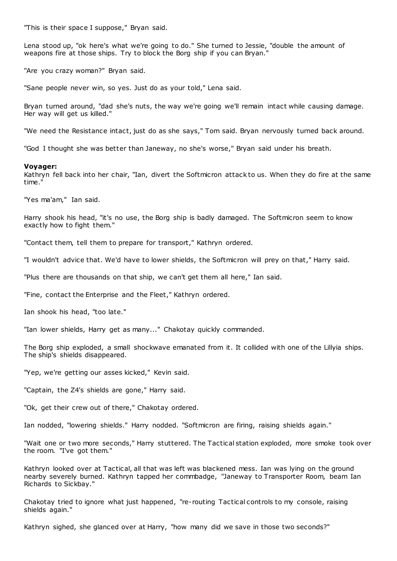"This is their space I suppose," Bryan said.

Lena stood up, "ok here's what we're going to do." She turned to Jessie, "double the amount of weapons fire at those ships. Try to block the Borg ship if you can Bryan."

"Are you crazy woman?" Bryan said.

"Sane people never win, so yes. Just do as your told," Lena said.

Bryan turned around, "dad she's nuts, the way we're going we'll remain intact while causing damage. Her way will get us killed."

"We need the Resistance intact, just do as she says," Tom said. Bryan nervously turned back around.

"God I thought she was better than Janeway, no she's worse," Bryan said under his breath.

### **Voyager:**

Kathryn fell back into her chair, "Ian, divert the Softmicron attack to us. When they do fire at the same time."

"Yes ma'am," Ian said.

Harry shook his head, "it's no use, the Borg ship is badly damaged. The Softmicron seem to know exactly how to fight them."

"Contact them, tell them to prepare for transport," Kathryn ordered.

"I wouldn't advice that. We'd have to lower shields, the Softmicron will prey on that," Harry said.

"Plus there are thousands on that ship, we can't get them all here," Ian said.

"Fine, contact the Enterprise and the Fleet," Kathryn ordered.

Ian shook his head, "too late."

"Ian lower shields, Harry get as many..." Chakotay quickly commanded.

The Borg ship exploded, a small shockwave emanated from it. It collided with one of the Lillyia ships. The ship's shields disappeared.

"Yep, we're getting our asses kicked," Kevin said.

"Captain, the Z4's shields are gone," Harry said.

"Ok, get their crew out of there," Chakotay ordered.

Ian nodded, "lowering shields." Harry nodded. "Softmicron are firing, raising shields again."

"Wait one or two more seconds," Harry stuttered. The Tactical station exploded, more smoke took over the room. "I've got them."

Kathryn looked over at Tactical, all that was left was blackened mess. Ian was lying on the ground nearby severely burned. Kathryn tapped her commbadge, "Janeway to Transporter Room, beam Ian Richards to Sickbay."

Chakotay tried to ignore what just happened, "re-routing Tactical controls to my console, raising shields again."

Kathryn sighed, she glanced over at Harry, "how many did we save in those two seconds?"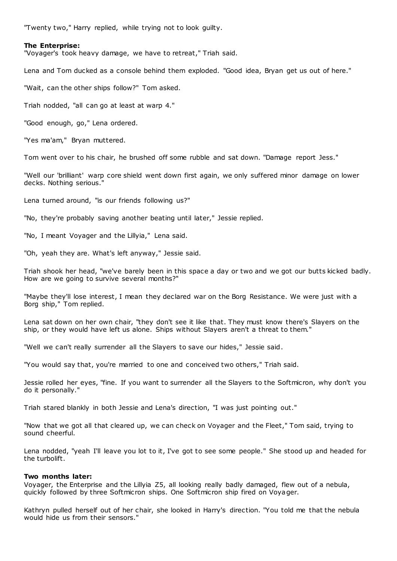"Twenty two," Harry replied, while trying not to look guilty.

# **The Enterprise:**

"Voyager's took heavy damage, we have to retreat," Triah said.

Lena and Tom ducked as a console behind them exploded. "Good idea, Bryan get us out of here."

"Wait, can the other ships follow?" Tom asked.

Triah nodded, "all can go at least at warp 4."

"Good enough, go," Lena ordered.

"Yes ma'am," Bryan muttered.

Tom went over to his chair, he brushed off some rubble and sat down. "Damage report Jess."

"Well our 'brilliant' warp core shield went down first again, we only suffered minor damage on lower decks. Nothing serious."

Lena turned around, "is our friends following us?"

"No, they're probably saving another beating until later," Jessie replied.

"No, I meant Voyager and the Lillyia," Lena said.

"Oh, yeah they are. What's left anyway," Jessie said.

Triah shook her head, "we've barely been in this space a day or two and we got our butts kicked badly. How are we going to survive several months?"

"Maybe they'll lose interest, I mean they declared war on the Borg Resistance. We were just with a Borg ship," Tom replied.

Lena sat down on her own chair, "they don't see it like that. They must know there's Slayers on the ship, or they would have left us alone. Ships without Slayers aren't a threat to them."

"Well we can't really surrender all the Slayers to save our hides," Jessie said.

"You would say that, you're married to one and conceived two others," Triah said.

Jessie rolled her eyes, "fine. If you want to surrender all the Slayers to the Softmicron, why don't you do it personally."

Triah stared blankly in both Jessie and Lena's direction, "I was just pointing out."

"Now that we got all that cleared up, we can check on Voyager and the Fleet," Tom said, trying to sound cheerful.

Lena nodded, "yeah I'll leave you lot to it, I've got to see some people." She stood up and headed for the turbolift.

# **Two months later:**

Voyager, the Enterprise and the Lillyia Z5, all looking really badly damaged, flew out of a nebula, quickly followed by three Softmicron ships. One Softmicron ship fired on Voyager.

Kathryn pulled herself out of her chair, she looked in Harry's direction. "You told me that the nebula would hide us from their sensors."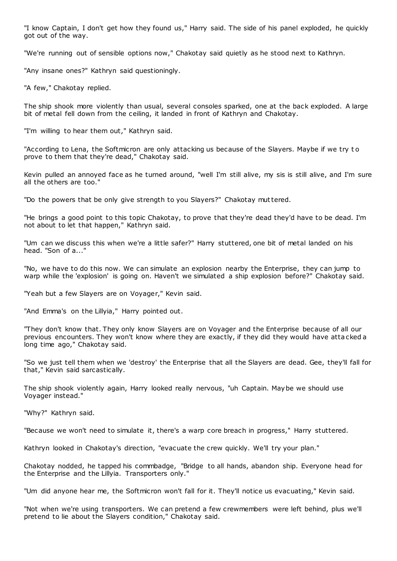"I know Captain, I don't get how they found us," Harry said. The side of his panel exploded, he quickly got out of the way.

"We're running out of sensible options now," Chakotay said quietly as he stood next to Kathryn.

"Any insane ones?" Kathryn said questioningly.

"A few," Chakotay replied.

The ship shook more violently than usual, several consoles sparked, one at the back exploded. A large bit of metal fell down from the ceiling, it landed in front of Kathryn and Chakotay.

"I'm willing to hear them out," Kathryn said.

"According to Lena, the Softmicron are only attacking us because of the Slayers. Maybe if we try to prove to them that they're dead," Chakotay said.

Kevin pulled an annoyed face as he turned around, "well I'm still alive, my sis is still alive, and I'm sure all the others are too."

"Do the powers that be only give strength to you Slayers?" Chakotay muttered.

"He brings a good point to this topic Chakotay, to prove that they're dead they'd have to be dead. I'm not about to let that happen," Kathryn said.

"Um can we discuss this when we're a little safer?" Harry stuttered, one bit of metal landed on his head. "Son of a..."

"No, we have to do this now. We can simulate an explosion nearby the Enterprise, they can jump to warp while the 'explosion' is going on. Haven't we simulated a ship explosion before?" Chakotay said.

"Yeah but a few Slayers are on Voyager," Kevin said.

"And Emma's on the Lillyia," Harry pointed out.

"They don't know that. They only know Slayers are on Voyager and the Enterprise because of all our previous encounters. They won't know where they are exactly, if they did they would have attacked a long time ago," Chakotay said.

"So we just tell them when we 'destroy' the Enterprise that all the Slayers are dead. Gee, they'll fall for that," Kevin said sarcastically.

The ship shook violently again, Harry looked really nervous, "uh Captain. Maybe we should use Voyager instead."

"Why?" Kathryn said.

"Because we won't need to simulate it, there's a warp core breach in progress," Harry stuttered.

Kathryn looked in Chakotay's direction, "evacuate the crew quickly. We'll try your plan."

Chakotay nodded, he tapped his commbadge, "Bridge to all hands, abandon ship. Everyone head for the Enterprise and the Lillyia. Transporters only."

"Um did anyone hear me, the Softmicron won't fall for it. They'll notice us evacuating," Kevin said.

"Not when we're using transporters. We can pretend a few crewmembers were left behind, plus we'll pretend to lie about the Slayers condition," Chakotay said.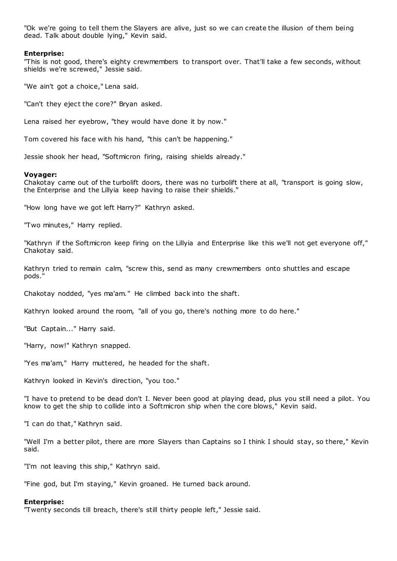"Ok we're going to tell them the Slayers are alive, just so we can create the illusion of them being dead. Talk about double lying," Kevin said.

### **Enterprise:**

"This is not good, there's eighty crewmembers to transport over. That'll take a few seconds, without shields we're screwed," Jessie said.

"We ain't got a choice," Lena said.

"Can't they eject the core?" Bryan asked.

Lena raised her eyebrow, "they would have done it by now."

Tom covered his face with his hand, "this can't be happening."

Jessie shook her head, "Softmicron firing, raising shields already."

### **Voyager:**

Chakotay came out of the turbolift doors, there was no turbolift there at all, "transport is going slow, the Enterprise and the Lillyia keep having to raise their shields."

"How long have we got left Harry?" Kathryn asked.

"Two minutes," Harry replied.

"Kathryn if the Softmicron keep firing on the Lillyia and Enterprise like this we'll not get everyone off," Chakotay said.

Kathryn tried to remain calm, "screw this, send as many crewmembers onto shuttles and escape pods."

Chakotay nodded, "yes ma'am." He climbed back into the shaft.

Kathryn looked around the room, "all of you go, there's nothing more to do here."

"But Captain..." Harry said.

"Harry, now!" Kathryn snapped.

"Yes ma'am," Harry muttered, he headed for the shaft.

Kathryn looked in Kevin's direc tion, "you too."

"I have to pretend to be dead don't I. Never been good at playing dead, plus you still need a pilot. You know to get the ship to collide into a Softmicron ship when the core blows," Kevin said.

"I can do that," Kathryn said.

"Well I'm a better pilot, there are more Slayers than Captains so I think I should stay, so there," Kevin said.

"I'm not leaving this ship," Kathryn said.

"Fine god, but I'm staying," Kevin groaned. He turned back around.

### **Enterprise:**

"Twenty seconds till breach, there's still thirty people left," Jessie said.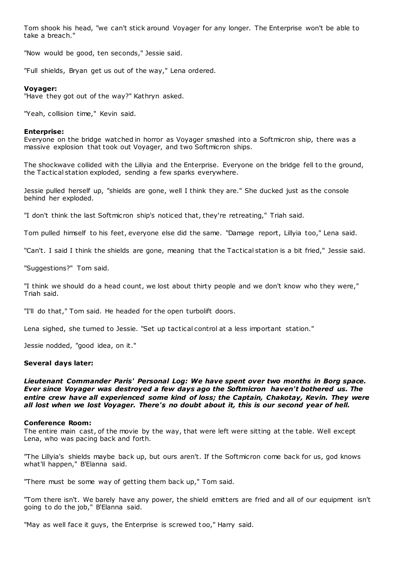Tom shook his head, "we can't stick around Voyager for any longer. The Enterprise won't be able to take a breach."

"Now would be good, ten seconds," Jessie said.

"Full shields, Bryan get us out of the way," Lena ordered.

# **Voyager:**

"Have they got out of the way?" Kathryn asked.

"Yeah, collision time," Kevin said.

# **Enterprise:**

Everyone on the bridge watched in horror as Voyager smashed into a Softmicron ship, there was a massive explosion that took out Voyager, and two Softmicron ships.

The shockwave collided with the Lillyia and the Enterprise. Everyone on the bridge fell to the ground, the Tactical station exploded, sending a few sparks everywhere.

Jessie pulled herself up, "shields are gone, well I think they are." She ducked just as the console behind her exploded.

"I don't think the last Softmicron ship's noticed that, they're retreating," Triah said.

Tom pulled himself to his feet, everyone else did the same. "Damage report, Lillyia too," Lena said.

"Can't. I said I think the shields are gone, meaning that the Tactical station is a bit fried," Jessie said.

"Suggestions?" Tom said.

"I think we should do a head count, we lost about thirty people and we don't know who they were," Triah said.

"I'll do that," Tom said. He headed for the open turbolift doors.

Lena sighed, she turned to Jessie. "Set up tactical control at a less important station."

Jessie nodded, "good idea, on it."

# **Several days later:**

*Lieutenant Commander Paris' Personal Log: We have spent over two months in Borg space. Ever since Voyager was destroyed a few days ago the Softmicron haven't bothered us. The entire crew have all experienced some kind of loss; the Captain, Chakotay, Kevin. They were all lost when we lost Voyager. There's no doubt about it, this is our second year of hell.*

# **Conference Room:**

The entire main cast, of the movie by the way, that were left were sitting at the table. Well except Lena, who was pacing back and forth.

"The Lillyia's shields maybe back up, but ours aren't. If the Softmicron come back for us, god knows what'll happen," B'Elanna said.

"There must be some way of getting them back up," Tom said.

"Tom there isn't. We barely have any power, the shield emitters are fried and all of our equipment isn't going to do the job," B'Elanna said.

"May as well face it guys, the Enterprise is screwed too," Harry said.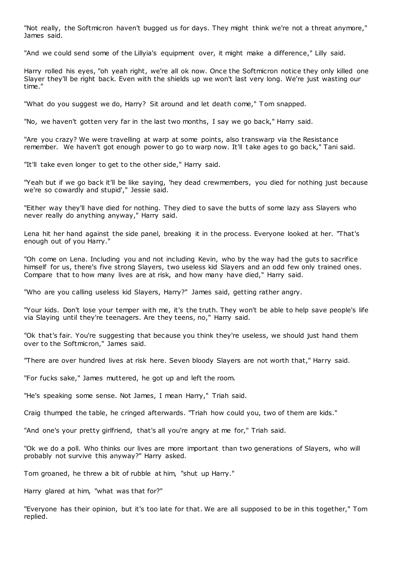"Not really, the Softmicron haven't bugged us for days. They might think we're not a threat anymore," James said.

"And we could send some of the Lillyia's equipment over, it might make a difference," Lilly said.

Harry rolled his eyes, "oh yeah right, we're all ok now. Once the Softmicron notice they only killed one Slayer they'll be right back. Even with the shields up we won't last very long. We're just wasting our time."

"What do you suggest we do, Harry? Sit around and let death come," T om snapped.

"No, we haven't gotten very far in the last two months, I say we go back," Harry said.

"Are you crazy? We were travelling at warp at some points, also transwarp via the Resistance remember. We haven't got enough power to go to warp now. It'll t ake ages to go back," Tani said.

"It'll take even longer to get to the other side," Harry said.

"Yeah but if we go back it'll be like saying, 'hey dead crewmembers, you died for nothing just because we're so cowardly and stupid'," Jessie said.

"Either way they'll have died for nothing. They died to save the butts of some lazy ass Slayers who never really do anything anyway," Harry said.

Lena hit her hand against the side panel, breaking it in the process. Everyone looked at her. "That's enough out of you Harry."

"Oh come on Lena. Including you and not including Kevin, who by the way had the guts to sacrifice himself for us, there's five strong Slayers, two useless kid Slayers and an odd few only trained ones. Compare that to how many lives are at risk, and how many have died," Harry said.

"Who are you calling useless kid Slayers, Harry?" James said, getting rather angry.

"Your kids. Don't lose your temper with me, it's the truth. They won't be able to help save people's life via Slaying until they're teenagers. Are they teens, no," Harry said.

"Ok that's fair. You're suggesting that because you think they're useless, we should just hand them over to the Softmicron," James said.

"There are over hundred lives at risk here. Seven bloody Slayers are not worth that," Harry said.

"For fucks sake," James muttered, he got up and left the room.

"He's speaking some sense. Not James, I mean Harry," Triah said.

Craig thumped the table, he cringed afterwards. "Triah how could you, two of them are kids."

"And one's your pretty girlfriend, that's all you're angry at me for," Triah said.

"Ok we do a poll. Who thinks our lives are more important than two generations of Slayers, who will probably not survive this anyway?" Harry asked.

Tom groaned, he threw a bit of rubble at him, "shut up Harry."

Harry glared at him, "what was that for?"

"Everyone has their opinion, but it's too late for that. We are all supposed to be in this together," Tom replied.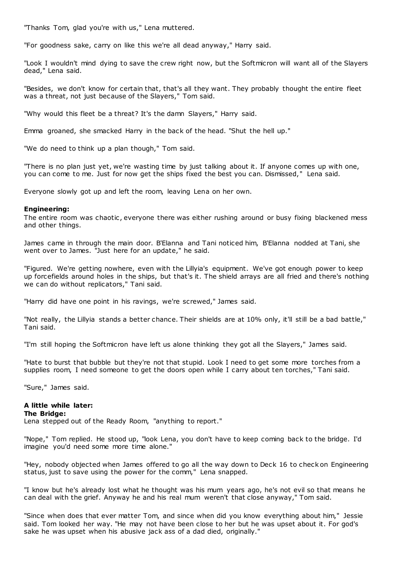"Thanks Tom, glad you're with us," Lena muttered.

"For goodness sake, carry on like this we're all dead anyway," Harry said.

"Look I wouldn't mind dying to save the crew right now, but the Softmicron will want all of the Slayers dead," Lena said.

"Besides, we don't know for certain that, that's all they want. They probably thought the entire fleet was a threat, not just because of the Slayers," Tom said.

"Why would this fleet be a threat? It's the damn Slayers," Harry said.

Emma groaned, she smacked Harry in the back of the head. "Shut the hell up."

"We do need to think up a plan though," Tom said.

"There is no plan just yet, we're wasting time by just talking about it. If anyone comes up with one, you can come to me. Just for now get the ships fixed the best you can. Dismissed," Lena said.

Everyone slowly got up and left the room, leaving Lena on her own.

# **Engineering:**

The entire room was chaotic, everyone there was either rushing around or busy fixing blackened mess and other things.

James came in through the main door. B'Elanna and Tani noticed him, B'Elanna nodded at Tani, she went over to James. "Just here for an update," he said.

"Figured. We're getting nowhere, even with the Lillyia's equipment. We've got enough power to keep up forcefields around holes in the ships, but that's it. The shield arrays are all fried and there's nothing we can do without replicators," Tani said.

"Harry did have one point in his ravings, we're screwed," James said.

"Not really, the Lillyia stands a better chance. Their shields are at 10% only, it'll still be a bad battle," Tani said.

"I'm still hoping the Softmicron have left us alone thinking they got all the Slayers," James said.

"Hate to burst that bubble but they're not that stupid. Look I need to get some more torches from a supplies room, I need someone to get the doors open while I carry about ten torches," Tani said.

"Sure," James said.

#### **A little while later: The Bridge:**

Lena stepped out of the Ready Room, "anything to report."

"Nope," Tom replied. He stood up, "look Lena, you don't have to keep coming back to the bridge. I'd imagine you'd need some more time alone."

"Hey, nobody objected when James offered to go all the way down to Deck 16 to check on Engineering status, just to save using the power for the comm," Lena snapped.

"I know but he's already lost what he thought was his mum years ago, he's not evil so that means he can deal with the grief. Anyway he and his real mum weren't that close anyway," Tom said.

"Since when does that ever matter Tom, and since when did you know everything about him," Jessie said. Tom looked her way. "He may not have been close to her but he was upset about it. For god's sake he was upset when his abusive jack ass of a dad died, originally."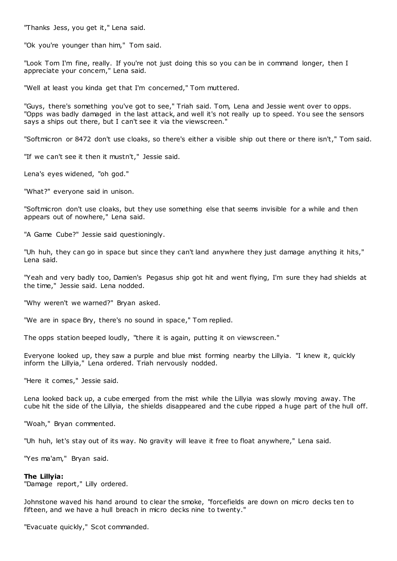"Thanks Jess, you get it," Lena said.

"Ok you're younger than him," Tom said.

"Look Tom I'm fine, really. If you're not just doing this so you can be in command longer, then I appreciate your concern," Lena said.

"Well at least you kinda get that I'm concerned," Tom muttered.

"Guys, there's something you've got to see," Triah said. Tom, Lena and Jessie went over to opps. "Opps was badly damaged in the last attack, and well it's not really up to speed. You see the sensors says a ships out there, but I can't see it via the viewscreen."

"Softmicron or 8472 don't use cloaks, so there's either a visible ship out there or there isn't," Tom said.

"If we can't see it then it mustn't," Jessie said.

Lena's eyes widened, "oh god."

"What?" everyone said in unison.

"Softmicron don't use cloaks, but they use something else that seems invisible for a while and then appears out of nowhere," Lena said.

"A Game Cube?" Jessie said questioningly.

"Uh huh, they can go in space but since they can't land anywhere they just damage anything it hits," Lena said.

"Yeah and very badly too, Damien's Pegasus ship got hit and went flying, I'm sure they had shields at the time," Jessie said. Lena nodded.

"Why weren't we warned?" Bryan asked.

"We are in space Bry, there's no sound in space," Tom replied.

The opps station beeped loudly, "there it is again, putting it on viewscreen."

Everyone looked up, they saw a purple and blue mist forming nearby the Lillyia. "I knew it, quickly inform the Lillyia," Lena ordered. Triah nervously nodded.

"Here it comes," Jessie said.

Lena looked back up, a cube emerged from the mist while the Lillyia was slowly moving away. The cube hit the side of the Lillyia, the shields disappeared and the cube ripped a huge part of the hull off.

"Woah," Bryan commented.

"Uh huh, let's stay out of its way. No gravity will leave it free to float anywhere," Lena said.

"Yes ma'am," Bryan said.

# **The Lillyia:**

"Damage report," Lilly ordered.

Johnstone waved his hand around to clear the smoke, "forcefields are down on micro decks ten to fifteen, and we have a hull breach in micro decks nine to twenty."

"Evacuate quickly," Scot commanded.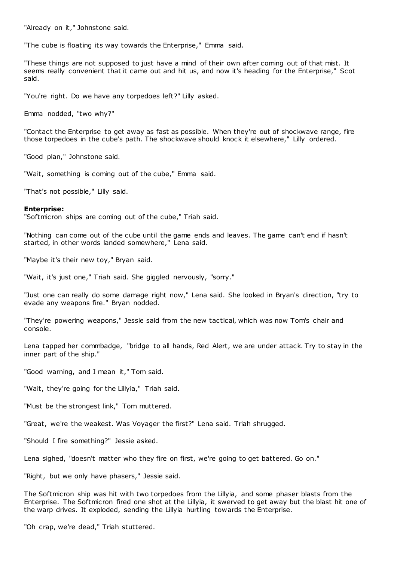"Already on it," Johnstone said.

"The cube is floating its way towards the Enterprise," Emma said.

"These things are not supposed to just have a mind of their own after coming out of that mist. It seems really convenient that it came out and hit us, and now it's heading for the Enterprise," Scot said.

"You're right. Do we have any torpedoes left?" Lilly asked.

Emma nodded, "two why?"

"Contact the Enterprise to get away as fast as possible. When they're out of shockwave range, fire those torpedoes in the cube's path. The shockwave should knock it elsewhere," Lilly ordered.

"Good plan," Johnstone said.

"Wait, something is coming out of the cube," Emma said.

"That's not possible," Lilly said.

### **Enterprise:**

"Softmicron ships are coming out of the cube," Triah said.

"Nothing can come out of the cube until the game ends and leaves. The game can't end if hasn't started, in other words landed somewhere," Lena said.

"Maybe it's their new toy," Bryan said.

"Wait, it's just one," Triah said. She giggled nervously, "sorry."

"Just one can really do some damage right now," Lena said. She looked in Bryan's direction, "try to evade any weapons fire." Bryan nodded.

"They're powering weapons," Jessie said from the new tactical, which was now Tom's chair and console.

Lena tapped her commbadge, "bridge to all hands, Red Alert, we are under attack. Try to stay in the inner part of the ship."

"Good warning, and I mean it," Tom said.

"Wait, they're going for the Lillyia," Triah said.

"Must be the strongest link," Tom muttered.

"Great, we're the weakest. Was Voyager the first?" Lena said. Triah shrugged.

"Should I fire something?" Jessie asked.

Lena sighed, "doesn't matter who they fire on first, we're going to get battered. Go on."

"Right, but we only have phasers," Jessie said.

The Softmicron ship was hit with two torpedoes from the Lillyia, and some phaser blasts from the Enterprise. The Softmicron fired one shot at the Lillyia, it swerved to get away but the blast hit one of the warp drives. It exploded, sending the Lillyia hurtling towards the Enterprise.

"Oh crap, we're dead," Triah stuttered.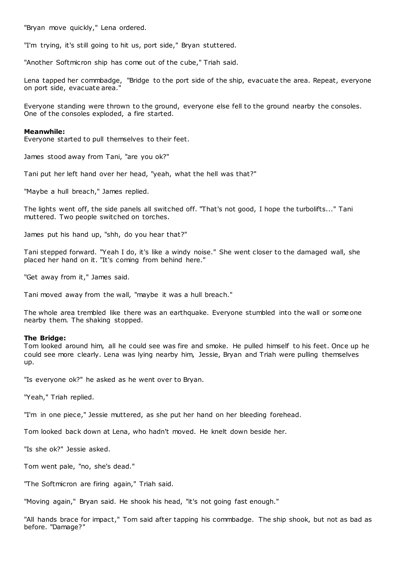"Bryan move quickly," Lena ordered.

"I'm trying, it's still going to hit us, port side," Bryan stuttered.

"Another Softmicron ship has come out of the cube," Triah said.

Lena tapped her commbadge, "Bridge to the port side of the ship, evacuate the area. Repeat, everyone on port side, evacuate area."

Everyone standing were thrown to the ground, everyone else fell to the ground nearby the consoles. One of the consoles exploded, a fire started.

#### **Meanwhile:**

Everyone started to pull themselves to their feet.

James stood away from Tani, "are you ok?"

Tani put her left hand over her head, "yeah, what the hell was that?"

"Maybe a hull breach," James replied.

The lights went off, the side panels all switched off. "That's not good, I hope the turbolifts..." Tani muttered. Two people switched on torches.

James put his hand up, "shh, do you hear that?"

Tani stepped forward. "Yeah I do, it's like a windy noise." She went closer to the damaged wall, she placed her hand on it. "It's coming from behind here."

"Get away from it," James said.

Tani moved away from the wall, "maybe it was a hull breach."

The whole area trembled like there was an earthquake. Everyone stumbled into the wall or someone nearby them. The shaking stopped.

### **The Bridge:**

Tom looked around him, all he could see was fire and smoke. He pulled himself to his feet. Once up he could see more clearly. Lena was lying nearby him, Jessie, Bryan and Triah were pulling themselves up.

"Is everyone ok?" he asked as he went over to Bryan.

"Yeah," Triah replied.

"I'm in one piece," Jessie muttered, as she put her hand on her bleeding forehead.

Tom looked back down at Lena, who hadn't moved. He knelt down beside her.

"Is she ok?" Jessie asked.

Tom went pale, "no, she's dead."

"The Softmicron are firing again," Triah said.

"Moving again," Bryan said. He shook his head, "it's not going fast enough."

"All hands brace for impact," Tom said after tapping his commbadge. The ship shook, but not as bad as before. "Damage?"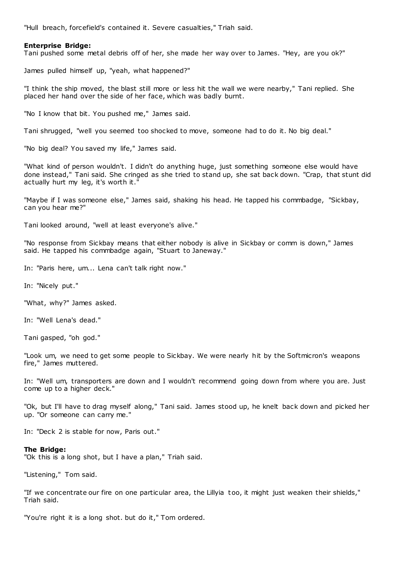"Hull breach, forcefield's contained it. Severe casualties," Triah said.

### **Enterprise Bridge:**

Tani pushed some metal debris off of her, she made her way over to James. "Hey, are you ok?"

James pulled himself up, "yeah, what happened?"

"I think the ship moved, the blast still more or less hit the wall we were nearby," Tani replied. She placed her hand over the side of her face, which was badly burnt.

"No I know that bit. You pushed me," James said.

Tani shrugged, "well you seemed too shocked to move, someone had to do it. No big deal."

"No big deal? You saved my life," James said.

"What kind of person wouldn't. I didn't do anything huge, just something someone else would have done instead," Tani said. She cringed as she tried to stand up, she sat back down. "Crap, that stunt did actually hurt my leg, it's worth it."

"Maybe if I was someone else," James said, shaking his head. He tapped his commbadge, "Sickbay, can you hear me?"

Tani looked around, "well at least everyone's alive."

"No response from Sickbay means that either nobody is alive in Sickbay or comm is down," James said. He tapped his commbadge again, "Stuart to Janeway."

In: "Paris here, um... Lena can't talk right now."

In: "Nicely put."

"What, why?" James asked.

In: "Well Lena's dead."

Tani gasped, "oh god."

"Look um, we need to get some people to Sickbay. We were nearly hit by the Softmicron's weapons fire," James muttered.

In: "Well um, transporters are down and I wouldn't recommend going down from where you are. Just come up to a higher deck."

"Ok, but I'll have to drag myself along," Tani said. James stood up, he knelt back down and picked her up. "Or someone can carry me."

In: "Deck 2 is stable for now, Paris out."

#### **The Bridge:**

"Ok this is a long shot, but I have a plan," Triah said.

"Listening," Tom said.

"If we concentrate our fire on one particular area, the Lillyia too, it might just weaken their shields," Triah said.

"You're right it is a long shot. but do it," Tom ordered.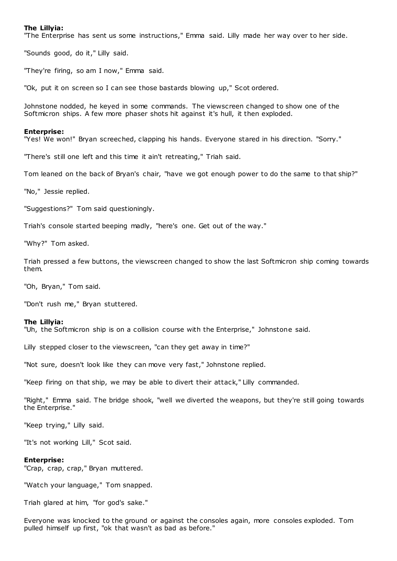# **The Lillyia:**

"The Enterprise has sent us some instructions," Emma said. Lilly made her way over to her side.

"Sounds good, do it," Lilly said.

"They're firing, so am I now," Emma said.

"Ok, put it on screen so I can see those bastards blowing up," Scot ordered.

Johnstone nodded, he keyed in some commands. The viewscreen changed to show one of the Softmicron ships. A few more phaser shots hit against it's hull, it then exploded.

#### **Enterprise:**

"Yes! We won!" Bryan screeched, clapping his hands. Everyone stared in his direction. "Sorry."

"There's still one left and this time it ain't retreating," Triah said.

Tom leaned on the back of Bryan's chair, "have we got enough power to do the same to that ship?"

"No," Jessie replied.

"Suggestions?" Tom said questioningly.

Triah's console started beeping madly, "here's one. Get out of the way."

"Why?" Tom asked.

Triah pressed a few buttons, the viewscreen changed to show the last Softmicron ship coming towards them.

"Oh, Bryan," Tom said.

"Don't rush me," Bryan stuttered.

#### **The Lillyia:**

"Uh, the Softmicron ship is on a collision course with the Enterprise," Johnstone said.

Lilly stepped closer to the viewscreen, "can they get away in time?"

"Not sure, doesn't look like they can move very fast," Johnstone replied.

"Keep firing on that ship, we may be able to divert their attack," Lilly commanded.

"Right," Emma said. The bridge shook, "well we diverted the weapons, but they're still going towards the Enterprise."

"Keep trying," Lilly said.

"It's not working Lill," Scot said.

### **Enterprise:**

"Crap, crap, crap," Bryan muttered.

"Watch your language," Tom snapped.

Triah glared at him, "for god's sake."

Everyone was knocked to the ground or against the consoles again, more consoles exploded. Tom pulled himself up first, "ok that wasn't as bad as before."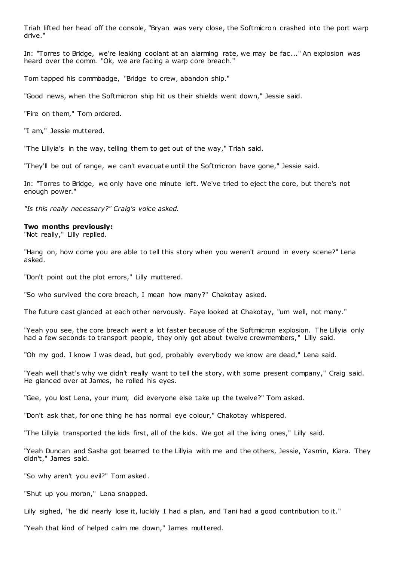Triah lifted her head off the console, "Bryan was very close, the Softmicron crashed into the port warp drive."

In: "Torres to Bridge, we're leaking coolant at an alarming rate, we may be fac ..." An explosion was heard over the comm. "Ok, we are facing a warp core breach."

Tom tapped his commbadge, "Bridge to crew, abandon ship."

"Good news, when the Softmicron ship hit us their shields went down," Jessie said.

"Fire on them," Tom ordered.

"I am," Jessie muttered.

"The Lillyia's in the way, telling them to get out of the way," Triah said.

"They'll be out of range, we can't evacuate until the Softmicron have gone," Jessie said.

In: "Torres to Bridge, we only have one minute left. We've tried to eject the core, but there's not enough power."

*"Is this really necessary?" Craig's voice asked.*

#### **Two months previously:**

"Not really," Lilly replied.

"Hang on, how come you are able to tell this story when you weren't around in every scene?" Lena asked.

"Don't point out the plot errors," Lilly muttered.

"So who survived the core breach, I mean how many?" Chakotay asked.

The future cast glanced at each other nervously. Faye looked at Chakotay, "um well, not many."

"Yeah you see, the core breach went a lot faster because of the Softmicron explosion. The Lillyia only had a few seconds to transport people, they only got about twelve crewmembers," Lilly said.

"Oh my god. I know I was dead, but god, probably everybody we know are dead," Lena said.

"Yeah well that's why we didn't really want to tell the story, with some present company," Craig said. He glanced over at James, he rolled his eyes.

"Gee, you lost Lena, your mum, did everyone else take up the twelve?" Tom asked.

"Don't ask that, for one thing he has normal eye colour," Chakotay whispered.

"The Lillyia transported the kids first, all of the kids. We got all the living ones," Lilly said.

"Yeah Duncan and Sasha got beamed to the Lillyia with me and the others, Jessie, Yasmin, Kiara. They didn't," James said.

"So why aren't you evil?" Tom asked.

"Shut up you moron," Lena snapped.

Lilly sighed, "he did nearly lose it, luckily I had a plan, and Tani had a good contribution to it."

"Yeah that kind of helped calm me down," James muttered.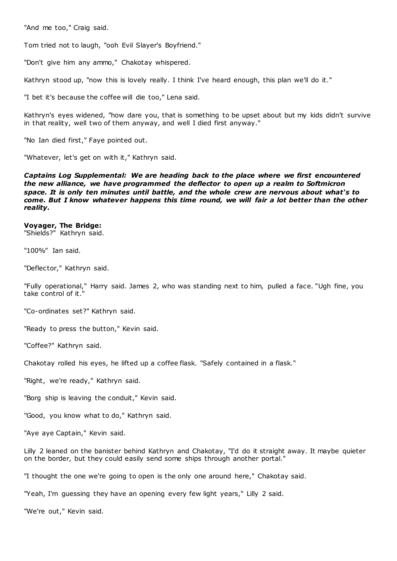"And me too," Craig said.

Tom tried not to laugh, "ooh Evil Slayer's Boyfriend."

"Don't give him any ammo," Chakotay whispered.

Kathryn stood up, "now this is lovely really. I think I've heard enough, this plan we'll do it."

"I bet it's because the coffee will die too," Lena said.

Kathryn's eyes widened, "how dare you, that is something to be upset about but my kids didn't survive in that reality, well two of them anyway, and well I died first anyway."

"No Ian died first," Faye pointed out.

"Whatever, let's get on with it," Kathryn said.

*Captains Log Supplemental: We are heading back to the place where we first encountered the new alliance, we have programmed the deflector to open up a realm to Softmicron space. It is only ten minutes until battle, and the whole crew are nervous about what's to come. But I know whatever happens this time round, we will fair a lot better than the other reality.*

**Voyager, The Bridge:** "Shields?" Kathryn said.

"100%" Ian said.

"Deflector," Kathryn said.

"Fully operational," Harry said. James 2, who was standing next to him, pulled a face. "Ugh fine, you take control of it."

"Co-ordinates set?" Kathryn said.

"Ready to press the button," Kevin said.

"Coffee?" Kathryn said.

Chakotay rolled his eyes, he lifted up a coffee flask. "Safely contained in a flask."

"Right, we're ready," Kathryn said.

"Borg ship is leaving the conduit," Kevin said.

"Good, you know what to do," Kathryn said.

"Aye aye Captain," Kevin said.

Lilly 2 leaned on the banister behind Kathryn and Chakotay, "I'd do it straight away. It maybe quieter on the border, but they could easily send some ships through another portal."

"I thought the one we're going to open is the only one around here," Chakotay said.

"Yeah, I'm guessing they have an opening every few light years," Lilly 2 said.

"We're out," Kevin said.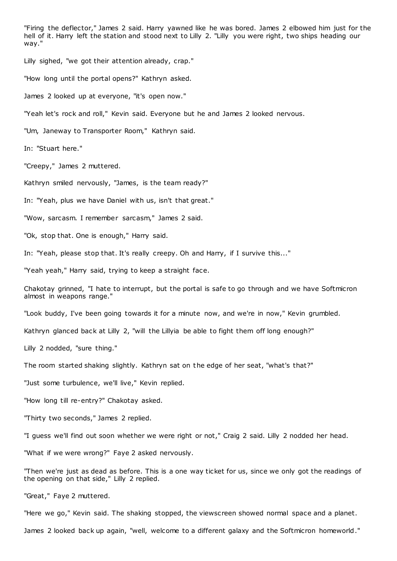"Firing the deflector," James 2 said. Harry yawned like he was bored. James 2 elbowed him just for the hell of it. Harry left the station and stood next to Lilly 2. "Lilly you were right, two ships heading our way."

Lilly sighed, "we got their attention already, crap."

"How long until the portal opens?" Kathryn asked.

James 2 looked up at everyone, "it's open now."

"Yeah let's rock and roll," Kevin said. Everyone but he and James 2 looked nervous.

"Um, Janeway to Transporter Room," Kathryn said.

In: "Stuart here."

"Creepy," James 2 muttered.

Kathryn smiled nervously, "James, is the team ready?"

In: "Yeah, plus we have Daniel with us, isn't that great."

"Wow, sarcasm. I remember sarcasm," James 2 said.

"Ok, stop that. One is enough," Harry said.

In: "Yeah, please stop that. It's really creepy. Oh and Harry, if I survive this..."

"Yeah yeah," Harry said, trying to keep a straight face.

Chakotay grinned, "I hate to interrupt, but the portal is safe to go through and we have Softmicron almost in weapons range."

"Look buddy, I've been going towards it for a minute now, and we're in now," Kevin grumbled.

Kathryn glanced back at Lilly 2, "will the Lillyia be able to fight them off long enough?"

Lilly 2 nodded, "sure thing."

The room started shaking slightly. Kathryn sat on the edge of her seat, "what's that?"

"Just some turbulence, we'll live," Kevin replied.

"How long till re-entry?" Chakotay asked.

"Thirty two seconds," James 2 replied.

"I guess we'll find out soon whether we were right or not," Craig 2 said. Lilly 2 nodded her head.

"What if we were wrong?" Faye 2 asked nervously.

"Then we're just as dead as before. This is a one way ticket for us, since we only got the readings of the opening on that side," Lilly 2 replied.

"Great," Faye 2 muttered.

"Here we go," Kevin said. The shaking stopped, the viewscreen showed normal space and a planet.

James 2 looked back up again, "well, welcome to a different galaxy and the Softmicron homeworld."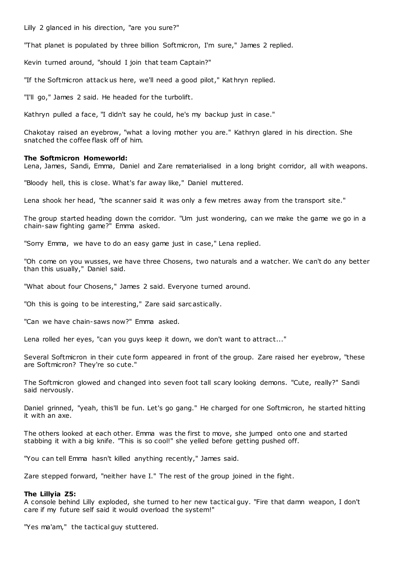Lilly 2 glanced in his direction, "are you sure?"

"That planet is populated by three billion Softmicron, I'm sure," James 2 replied.

Kevin turned around, "should I join that team Captain?"

"If the Softmicron attack us here, we'll need a good pilot," Kathryn replied.

"I'll go," James 2 said. He headed for the turbolift.

Kathryn pulled a face, "I didn't say he could, he's my backup just in case."

Chakotay raised an eyebrow, "what a loving mother you are." Kathryn glared in his direction. She snatched the coffee flask off of him.

### **The Softmicron Homeworld:**

Lena, James, Sandi, Emma, Daniel and Zare rematerialised in a long bright corridor, all with weapons.

"Bloody hell, this is close. What's far away like," Daniel muttered.

Lena shook her head, "the scanner said it was only a few metres away from the transport site."

The group started heading down the corridor. "Um just wondering, can we make the game we go in a chain-saw fighting game?" Emma asked.

"Sorry Emma, we have to do an easy game just in case," Lena replied.

"Oh come on you wusses, we have three Chosens, two naturals and a watcher. We can't do any better than this usually," Daniel said.

"What about four Chosens," James 2 said. Everyone turned around.

"Oh this is going to be interesting," Zare said sarc astically.

"Can we have chain-saws now?" Emma asked.

Lena rolled her eyes, "can you guys keep it down, we don't want to attract..."

Several Softmicron in their cute form appeared in front of the group. Zare raised her eyebrow, "these are Softmicron? They're so cute."

The Softmicron glowed and changed into seven foot tall scary looking demons. "Cute, really?" Sandi said nervously.

Daniel grinned, "yeah, this'll be fun. Let's go gang." He charged for one Softmicron, he started hitting it with an axe.

The others looked at each other. Emma was the first to move, she jumped onto one and started stabbing it with a big knife. "This is so cool!" she yelled before getting pushed off.

"You can tell Emma hasn't killed anything recently," James said.

Zare stepped forward, "neither have I." The rest of the group joined in the fight.

#### **The Lillyia Z5:**

A console behind Lilly exploded, she turned to her new tactical guy. "Fire that damn weapon, I don't care if my future self said it would overload the system!"

"Yes ma'am," the tactical guy stuttered.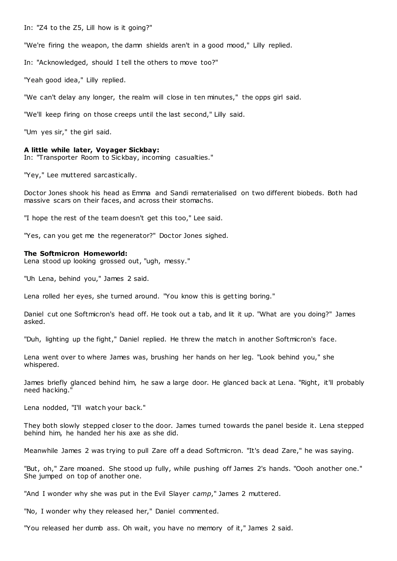In: "Z4 to the Z5, Lill how is it going?"

"We're firing the weapon, the damn shields aren't in a good mood," Lilly replied.

In: "Acknowledged, should I tell the others to move too?"

"Yeah good idea," Lilly replied.

"We can't delay any longer, the realm will close in ten minutes," the opps girl said.

"We'll keep firing on those creeps until the last second," Lilly said.

"Um yes sir," the girl said.

### **A little while later, Voyager Sickbay:**

In: "Transporter Room to Sickbay, incoming casualties."

"Yey," Lee muttered sarcastically.

Doctor Jones shook his head as Emma and Sandi rematerialised on two different biobeds. Both had massive scars on their faces, and across their stomachs.

"I hope the rest of the team doesn't get this too," Lee said.

"Yes, can you get me the regenerator?" Doctor Jones sighed.

#### **The Softmicron Homeworld:**

Lena stood up looking grossed out, "ugh, messy."

"Uh Lena, behind you," James 2 said.

Lena rolled her eyes, she turned around. "You know this is getting boring."

Daniel cut one Softmicron's head off. He took out a tab, and lit it up. "What are you doing?" James asked.

"Duh, lighting up the fight," Daniel replied. He threw the match in another Softmicron's face.

Lena went over to where James was, brushing her hands on her leg. "Look behind you," she whispered.

James briefly glanced behind him, he saw a large door. He glanced back at Lena. "Right, it'll probably need hacking."

Lena nodded, "I'll watch your back."

They both slowly stepped closer to the door. James turned towards the panel beside it. Lena stepped behind him, he handed her his axe as she did.

Meanwhile James 2 was trying to pull Zare off a dead Softmicron. "It's dead Zare," he was saying.

"But, oh," Zare moaned. She stood up fully, while pushing off James 2's hands. "Oooh another one." She jumped on top of another one.

"And I wonder why she was put in the Evil Slayer *camp*," James 2 muttered.

"No, I wonder why they released her," Daniel commented.

"You released her dumb ass. Oh wait, you have no memory of it," James 2 said.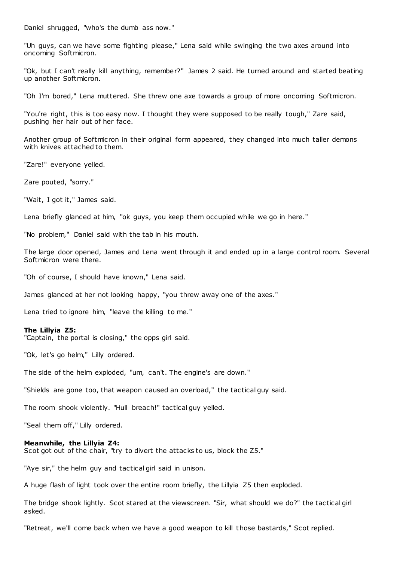Daniel shrugged, "who's the dumb ass now."

"Uh guys, can we have some fighting please," Lena said while swinging the two axes around into oncoming Softmicron.

"Ok, but I can't really kill anything, remember?" James 2 said. He turned around and started beating up another Softmicron.

"Oh I'm bored," Lena muttered. She threw one axe towards a group of more oncoming Softmicron.

"You're right, this is too easy now. I thought they were supposed to be really tough," Zare said, pushing her hair out of her face.

Another group of Softmicron in their original form appeared, they changed into much taller demons with knives attached to them.

"Zare!" everyone yelled.

Zare pouted, "sorry."

"Wait, I got it," James said.

Lena briefly glanced at him, "ok guys, you keep them occupied while we go in here."

"No problem," Daniel said with the tab in his mouth.

The large door opened, James and Lena went through it and ended up in a large control room. Several Softmicron were there.

"Oh of course, I should have known," Lena said.

James glanced at her not looking happy, "you threw away one of the axes."

Lena tried to ignore him, "leave the killing to me."

#### **The Lillyia Z5:**

"Captain, the portal is closing," the opps girl said.

"Ok, let's go helm," Lilly ordered.

The side of the helm exploded, "um, can't. The engine's are down."

"Shields are gone too, that weapon caused an overload," the tactical guy said.

The room shook violently. "Hull breach!" tactical guy yelled.

"Seal them off," Lilly ordered.

#### **Meanwhile, the Lillyia Z4:**

Scot got out of the chair, "try to divert the attacks to us, block the Z5."

"Aye sir," the helm guy and tactical girl said in unison.

A huge flash of light took over the entire room briefly, the Lillyia Z5 then exploded.

The bridge shook lightly. Scot stared at the viewscreen. "Sir, what should we do?" the tactical girl asked.

"Retreat, we'll come back when we have a good weapon to kill those bastards," Scot replied.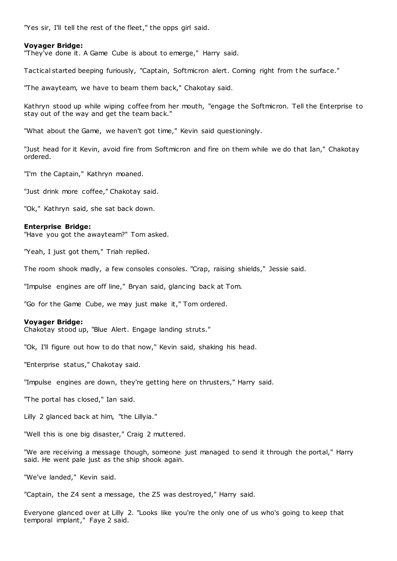"Yes sir, I'll tell the rest of the fleet," the opps girl said.

# **Voyager Bridge:**

"They've done it. A Game Cube is about to emerge," Harry said.

Tactical started beeping furiously, "Captain, Softmicron alert. Coming right from t he surface."

"The awayteam, we have to beam them back," Chakotay said.

Kathryn stood up while wiping coffee from her mouth, "engage the Softmicron. Tell the Enterprise to stay out of the way and get the team back."

"What about the Game, we haven't got time," Kevin said questioningly.

"Just head for it Kevin, avoid fire from Softmicron and fire on them while we do that Ian," Chakotay ordered.

"I'm the Captain," Kathryn moaned.

"Just drink more coffee," Chakotay said.

"Ok," Kathryn said, she sat back down.

#### **Enterprise Bridge:**

"Have you got the awayteam?" Tom asked.

"Yeah, I just got them," Triah replied.

The room shook madly, a few consoles consoles. "Crap, raising shields," Jessie said.

"Impulse engines are off line," Bryan said, glancing back at Tom.

"Go for the Game Cube, we may just make it," Tom ordered.

### **Voyager Bridge:**

Chakotay stood up, "Blue Alert. Engage landing struts."

"Ok, I'll figure out how to do that now," Kevin said, shaking his head.

"Enterprise status," Chakotay said.

"Impulse engines are down, they're getting here on thrusters," Harry said.

"The portal has closed," Ian said.

Lilly 2 glanced back at him, "the Lillyia."

"Well this is one big disaster," Craig 2 muttered.

"We are receiving a message though, someone just managed to send it through the portal," Harry said. He went pale just as the ship shook again.

"We've landed," Kevin said.

"Captain, the Z4 sent a message, the Z5 was destroyed," Harry said.

Everyone glanced over at Lilly 2. "Looks like you're the only one of us who's going to keep that temporal implant," Faye 2 said.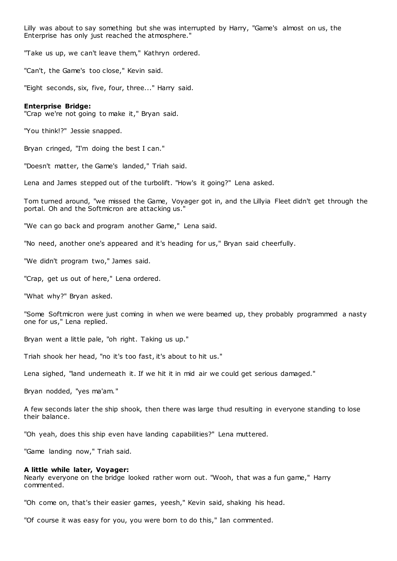Lilly was about to say something but she was interrupted by Harry, "Game's almost on us, the Enterprise has only just reached the atmosphere."

"Take us up, we can't leave them," Kathryn ordered.

"Can't, the Game's too close," Kevin said.

"Eight seconds, six, five, four, three..." Harry said.

### **Enterprise Bridge:**

"Crap we're not going to make it," Bryan said.

"You think!?" Jessie snapped.

Bryan cringed, "I'm doing the best I can."

"Doesn't matter, the Game's landed," Triah said.

Lena and James stepped out of the turbolift. "How's it going?" Lena asked.

Tom turned around, "we missed the Game, Voyager got in, and the Lillyia Fleet didn't get through the portal. Oh and the Softmicron are attacking us."

"We can go back and program another Game," Lena said.

"No need, another one's appeared and it's heading for us," Bryan said cheerfully.

"We didn't program two," James said.

"Crap, get us out of here," Lena ordered.

"What why?" Bryan asked.

"Some Softmicron were just coming in when we were beamed up, they probably programmed a nasty one for us," Lena replied.

Bryan went a little pale, "oh right. Taking us up."

Triah shook her head, "no it's too fast, it's about to hit us."

Lena sighed, "land underneath it. If we hit it in mid air we could get serious damaged."

Bryan nodded, "yes ma'am."

A few seconds later the ship shook, then there was large thud resulting in everyone standing to lose their balance.

"Oh yeah, does this ship even have landing capabilities?" Lena muttered.

"Game landing now," Triah said.

### **A little while later, Voyager:**

Nearly everyone on the bridge looked rather worn out. "Wooh, that was a fun game," Harry commented.

"Oh come on, that's their easier games, yeesh," Kevin said, shaking his head.

"Of course it was easy for you, you were born to do this," Ian commented.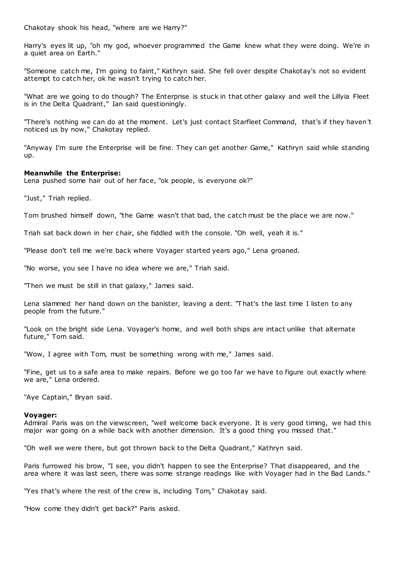Chakotay shook his head, "where are we Harry?"

Harry's eyes lit up, "oh my god, whoever programmed the Game knew what they were doing. We're in a quiet area on Earth."

"Someone catch me, I'm going to faint," Kathryn said. She fell over despite Chakotay's not so evident attempt to catch her, ok he wasn't trying to catch her.

"What are we going to do though? The Enterprise is stuck in that other galaxy and well the Lillyia Fleet is in the Delta Quadrant," Ian said questioningly.

"There's nothing we can do at the moment. Let's just contact Starfleet Command, that's if they haven't noticed us by now," Chakotay replied.

"Anyway I'm sure the Enterprise will be fine. They can get another Game," Kathryn said while standing up.

### **Meanwhile the Enterprise:**

Lena pushed some hair out of her face, "ok people, is everyone ok?"

"Just," Triah replied.

Tom brushed himself down, "the Game wasn't that bad, the catch must be the place we are now."

Triah sat back down in her chair, she fiddled with the console. "Oh well, yeah it is."

"Please don't tell me we're back where Voyager started years ago," Lena groaned.

"No worse, you see I have no idea where we are," Triah said.

"Then we must be still in that galaxy," James said.

Lena slammed her hand down on the banister, leaving a dent. "That's the last time I listen to any people from the future."

"Look on the bright side Lena. Voyager's home, and well both ships are intact unlike that alternate future," Tom said.

"Wow, I agree with Tom, must be something wrong with me," James said.

"Fine, get us to a safe area to make repairs. Before we go too far we have to figure out exactly where we are," Lena ordered.

"Aye Captain," Bryan said.

### **Voyager:**

Admiral Paris was on the viewscreen, "well welcome back everyone. It is very good timing, we had this major war going on a while back with another dimension. It's a good thing you missed that."

"Oh well we were there, but got thrown back to the Delta Quadrant," Kathryn said.

Paris furrowed his brow, "I see, you didn't happen to see the Enterprise? That disappeared, and the area where it was last seen, there was some strange readings like with Voyager had in the Bad Lands."

"Yes that's where the rest of the crew is, including Tom," Chakotay said.

"How come they didn't get back?" Paris asked.